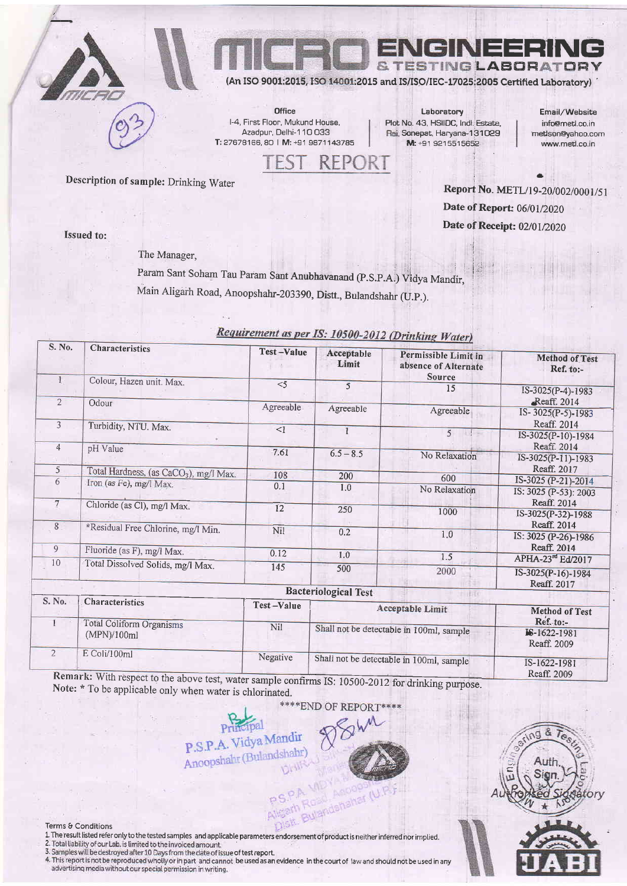

IN 25 NGLABORAT

SO 9001:2015, ISO 14001:2015 and IS/ISO/IEC-17025:2005 Certified Laboratory)

Office I-4, First Floor, Mukund House, Azadpur, Delhi-110033 T: 27678166, 80 | M: +91 9871143785

Laboratory Plot No. 43, HSIIDC, Indl. Estate, Rai, Sonepat, Haryana-131029 M: +91 9215515652

Email/Website info@metl.co.in mettson@yahoo.com www.metl.co.in

Description of sample: Drinking Water

Report No. METL/19-20/002/0001/51 Date of Report: 06/01/2020 Date of Receipt: 02/01/2020

**Issued to:** 

The Manager,

Param Sant Soham Tau Param Sant Anubhavanand (P.S.P.A.) Vidya Mandir, Main Aligarh Road, Anoopshahr-203390, Distt., Bulandshahr (U.P.).

| S. No.         | Characteristics                                                            | <b>Test-Value</b> | Acceptable<br>Limit                      | Permissible Limit in<br>absence of Alternate<br>Source | <b>Method of Test</b><br>Ref. to:-               |
|----------------|----------------------------------------------------------------------------|-------------------|------------------------------------------|--------------------------------------------------------|--------------------------------------------------|
| $\mathbf{1}$   | Colour, Hazen unit. Max.                                                   | $<$ 5             | 5                                        | 15                                                     | IS-3025(P-4)-1983                                |
| $\overline{2}$ | Odour                                                                      | Agreeable         | Agreeable                                | Agreeable                                              | -Reaff. 2014<br>IS-3025(P-5)-1983                |
| $\overline{3}$ | Turbidity, NTU. Max.                                                       | <1                |                                          | $5 \cdot 1$                                            | Reaff. 2014<br>IS-3025(P-10)-1984                |
| $\overline{4}$ | pH Value                                                                   | 7.61              | $6.5 - 8.5$                              | No Relaxation                                          | Reaff. 2014<br>IS-3025(P-11)-1983                |
| 5              | Total Hardness, (as CaCO <sub>3</sub> ), mg/l Max.                         | 108               | 200                                      | 600                                                    | Reaff. 2017                                      |
| 6              | Iron (as Fe), mg/l Max.                                                    | 0.1               | 1.0                                      | No Relaxation                                          | IS-3025 (P-21)-2014<br>IS: 3025 (P-53): 2003     |
| $7\overline{}$ | Chloride (as Cl), mg/l Max.                                                | 12                | 250                                      | 1000                                                   | Reaff. 2014<br>IS-3025(P-32)-1988<br>Reaff. 2014 |
| $\sqrt{8}$     | *Residual Free Chlorine, mg/l Min.                                         | Nil               | 0.2                                      | 1.0                                                    | IS: 3025 (P-26)-1986                             |
| 9              | Fluoride (as F), mg/l Max.                                                 | 0.12              | 1.0                                      | 1.5                                                    | Reaff, 2014<br>APHA-23 <sup>rd</sup> Ed/2017     |
| 10             | Total Dissolved Solids, mg/l Max.                                          | 145               | 500                                      | 2000                                                   | IS-3025(P-16)-1984<br>Reaff. 2017                |
|                |                                                                            |                   | <b>Bacteriological Test</b>              |                                                        |                                                  |
| S. No.         | Characteristics                                                            | Test-Value        | Acceptable Limit                         |                                                        | <b>Method of Test</b>                            |
|                | Total Coliform Organisms<br>(MPN)/100ml                                    | Nil               | Shall not be detectable in 100ml, sample |                                                        | Ref. to:-<br>IS-1622-1981<br>Reaff. 2009         |
| $\overline{2}$ | E Coli/100ml<br>Remark: With respect to the above test water $\frac{1}{2}$ | Negative          | Shall not be detectable in 100ml, sample |                                                        | IS-1622-1981<br>Reaff. 2009                      |

 $D$  and  $L$ 

 $RFP$ 

to the above test, water sample confirms IS: 10500-2012 for drinking purpose. Note: \* To be applicable only when water is chlorinated.

**\*\*\*\*END OF** 







## Terms & Conditions

- 1.<br>The result listed refer only to the tested samples and applicable parameters endorsement of product is neither inferred nor implied.<br>2. Total liability of our Lab. is limited to the involced amount.<br>3. Samples will be d
- 
- advertising media without our special permission in writing.